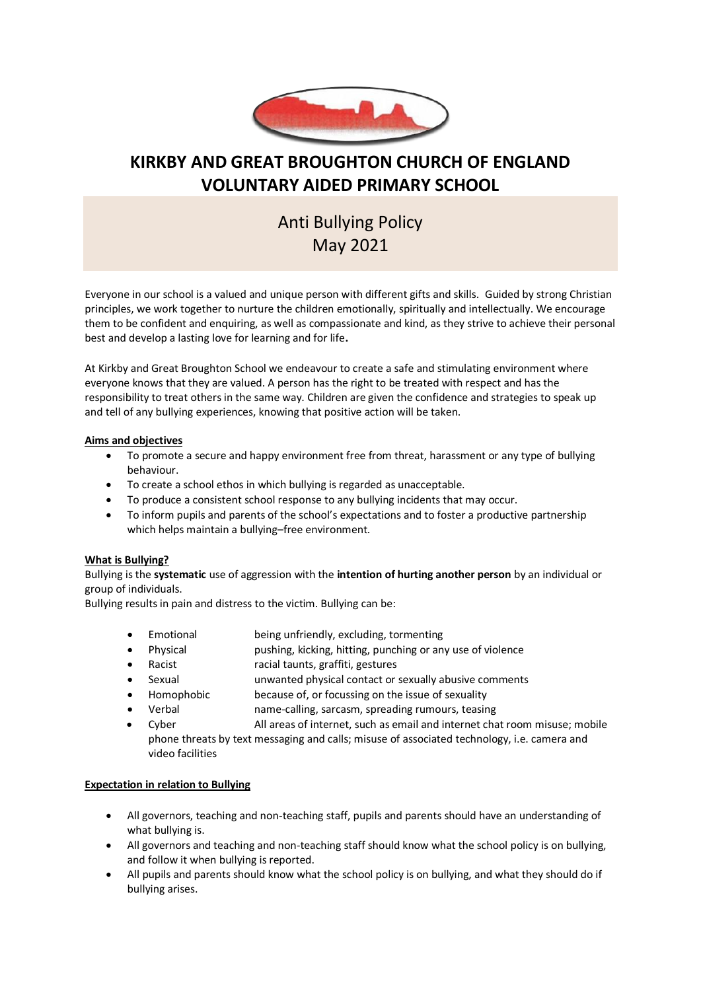

## **KIRKBY AND GREAT BROUGHTON CHURCH OF ENGLAND VOLUNTARY AIDED PRIMARY SCHOOL**

# Anti Bullying Policy May 2021

Everyone in our school is a valued and unique person with different gifts and skills. Guided by strong Christian principles, we work together to nurture the children emotionally, spiritually and intellectually. We encourage them to be confident and enquiring, as well as compassionate and kind, as they strive to achieve their personal best and develop a lasting love for learning and for life**.**

At Kirkby and Great Broughton School we endeavour to create a safe and stimulating environment where everyone knows that they are valued. A person has the right to be treated with respect and has the responsibility to treat others in the same way. Children are given the confidence and strategies to speak up and tell of any bullying experiences, knowing that positive action will be taken.

#### **Aims and objectives**

- To promote a secure and happy environment free from threat, harassment or any type of bullying behaviour.
- To create a school ethos in which bullying is regarded as unacceptable.
- To produce a consistent school response to any bullying incidents that may occur.
- To inform pupils and parents of the school's expectations and to foster a productive partnership which helps maintain a bullying–free environment.

#### **What is Bullying?**

Bullying is the **systematic** use of aggression with the **intention of hurting another person** by an individual or group of individuals.

Bullying results in pain and distress to the victim. Bullying can be:

- Emotional being unfriendly, excluding, tormenting
- Physical pushing, kicking, hitting, punching or any use of violence
- Racist racial taunts, graffiti, gestures
- Sexual unwanted physical contact or sexually abusive comments
- Homophobic because of, or focussing on the issue of sexuality
- Verbal name-calling, sarcasm, spreading rumours, teasing
- Cyber All areas of internet, such as email and internet chat room misuse; mobile phone threats by text messaging and calls; misuse of associated technology, i.e. camera and video facilities

#### **Expectation in relation to Bullying**

- All governors, teaching and non-teaching staff, pupils and parents should have an understanding of what bullying is.
- All governors and teaching and non-teaching staff should know what the school policy is on bullying, and follow it when bullying is reported.
- All pupils and parents should know what the school policy is on bullying, and what they should do if bullying arises.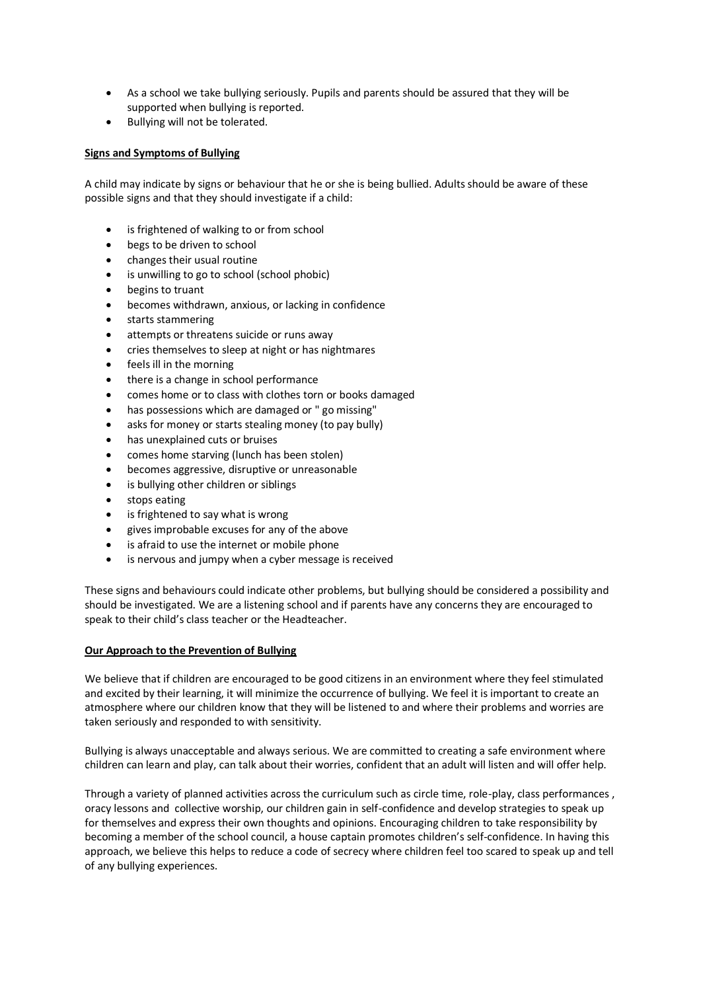- As a school we take bullying seriously. Pupils and parents should be assured that they will be supported when bullying is reported.
- Bullying will not be tolerated.

#### **Signs and Symptoms of Bullying**

A child may indicate by signs or behaviour that he or she is being bullied. Adults should be aware of these possible signs and that they should investigate if a child:

- is frightened of walking to or from school
- begs to be driven to school
- changes their usual routine
- is unwilling to go to school (school phobic)
- begins to truant
- becomes withdrawn, anxious, or lacking in confidence
- starts stammering
- attempts or threatens suicide or runs away
- cries themselves to sleep at night or has nightmares
- feels ill in the morning
- there is a change in school performance
- comes home or to class with clothes torn or books damaged
- has possessions which are damaged or " go missing"
- asks for money or starts stealing money (to pay bully)
- has unexplained cuts or bruises
- comes home starving (lunch has been stolen)
- becomes aggressive, disruptive or unreasonable
- is bullying other children or siblings
- stops eating
- is frightened to say what is wrong
- gives improbable excuses for any of the above
- is afraid to use the internet or mobile phone
- is nervous and jumpy when a cyber message is received

These signs and behaviours could indicate other problems, but bullying should be considered a possibility and should be investigated. We are a listening school and if parents have any concerns they are encouraged to speak to their child's class teacher or the Headteacher.

#### **Our Approach to the Prevention of Bullying**

We believe that if children are encouraged to be good citizens in an environment where they feel stimulated and excited by their learning, it will minimize the occurrence of bullying. We feel it is important to create an atmosphere where our children know that they will be listened to and where their problems and worries are taken seriously and responded to with sensitivity.

Bullying is always unacceptable and always serious. We are committed to creating a safe environment where children can learn and play, can talk about their worries, confident that an adult will listen and will offer help.

Through a variety of planned activities across the curriculum such as circle time, role-play, class performances , oracy lessons and collective worship, our children gain in self-confidence and develop strategies to speak up for themselves and express their own thoughts and opinions. Encouraging children to take responsibility by becoming a member of the school council, a house captain promotes children's self-confidence. In having this approach, we believe this helps to reduce a code of secrecy where children feel too scared to speak up and tell of any bullying experiences.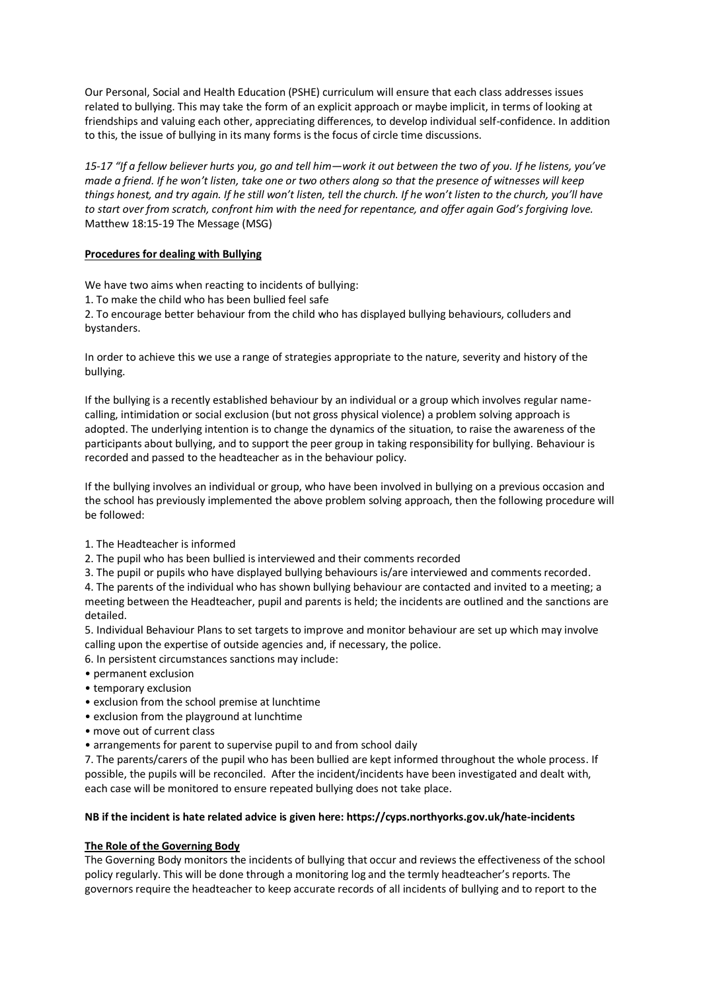Our Personal, Social and Health Education (PSHE) curriculum will ensure that each class addresses issues related to bullying. This may take the form of an explicit approach or maybe implicit, in terms of looking at friendships and valuing each other, appreciating differences, to develop individual self-confidence. In addition to this, the issue of bullying in its many forms is the focus of circle time discussions.

*15-17 "If a fellow believer hurts you, go and tell him—work it out between the two of you. If he listens, you've made a friend. If he won't listen, take one or two others along so that the presence of witnesses will keep things honest, and try again. If he still won't listen, tell the church. If he won't listen to the church, you'll have to start over from scratch, confront him with the need for repentance, and offer again God's forgiving love.*  Matthew 18:15-19 The Message (MSG)

#### **Procedures for dealing with Bullying**

We have two aims when reacting to incidents of bullying:

1. To make the child who has been bullied feel safe

2. To encourage better behaviour from the child who has displayed bullying behaviours, colluders and bystanders.

In order to achieve this we use a range of strategies appropriate to the nature, severity and history of the bullying.

If the bullying is a recently established behaviour by an individual or a group which involves regular namecalling, intimidation or social exclusion (but not gross physical violence) a problem solving approach is adopted. The underlying intention is to change the dynamics of the situation, to raise the awareness of the participants about bullying, and to support the peer group in taking responsibility for bullying. Behaviour is recorded and passed to the headteacher as in the behaviour policy.

If the bullying involves an individual or group, who have been involved in bullying on a previous occasion and the school has previously implemented the above problem solving approach, then the following procedure will be followed:

- 1. The Headteacher is informed
- 2. The pupil who has been bullied is interviewed and their comments recorded

3. The pupil or pupils who have displayed bullying behaviours is/are interviewed and comments recorded.

4. The parents of the individual who has shown bullying behaviour are contacted and invited to a meeting; a meeting between the Headteacher, pupil and parents is held; the incidents are outlined and the sanctions are detailed.

5. Individual Behaviour Plans to set targets to improve and monitor behaviour are set up which may involve calling upon the expertise of outside agencies and, if necessary, the police.

- 6. In persistent circumstances sanctions may include:
- permanent exclusion
- temporary exclusion
- exclusion from the school premise at lunchtime
- exclusion from the playground at lunchtime
- move out of current class
- arrangements for parent to supervise pupil to and from school daily

7. The parents/carers of the pupil who has been bullied are kept informed throughout the whole process. If possible, the pupils will be reconciled. After the incident/incidents have been investigated and dealt with, each case will be monitored to ensure repeated bullying does not take place.

#### **NB if the incident is hate related advice is given here: https://cyps.northyorks.gov.uk/hate-incidents**

### **The Role of the Governing Body**

The Governing Body monitors the incidents of bullying that occur and reviews the effectiveness of the school policy regularly. This will be done through a monitoring log and the termly headteacher's reports. The governors require the headteacher to keep accurate records of all incidents of bullying and to report to the